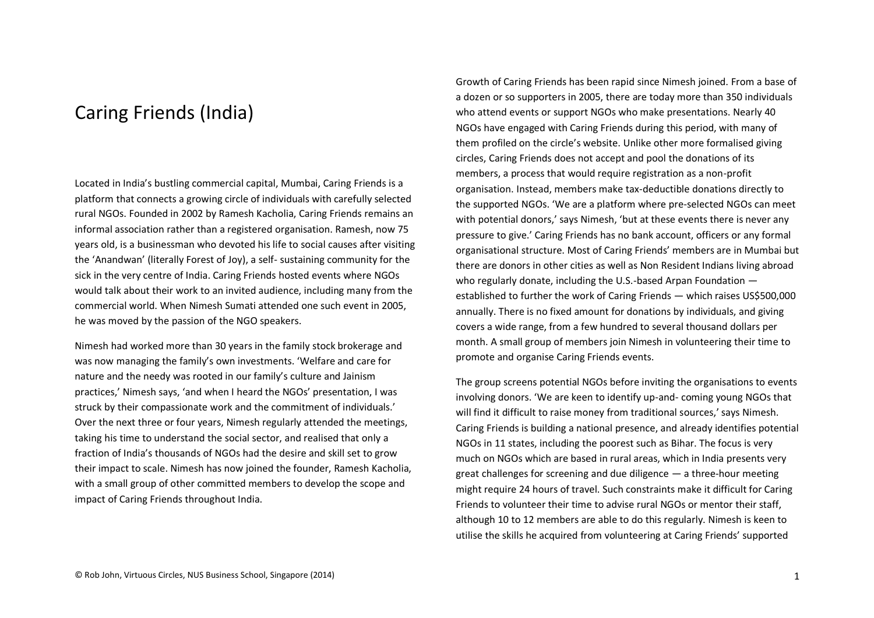## Caring Friends (India)

Located in India's bustling commercial capital, Mumbai, Caring Friends is a platform that connects a growing circle of individuals with carefully selected rural NGOs. Founded in 2002 by Ramesh Kacholia, Caring Friends remains an informal association rather than a registered organisation. Ramesh, now 75 years old, is a businessman who devoted his life to social causes after visiting the 'Anandwan' (literally Forest of Joy), a self- sustaining community for the sick in the very centre of India. Caring Friends hosted events where NGOs would talk about their work to an invited audience, including many from the commercial world. When Nimesh Sumati attended one such event in 2005, he was moved by the passion of the NGO speakers.

Nimesh had worked more than 30 years in the family stock brokerage and was now managing the family's own investments. 'Welfare and care for nature and the needy was rooted in our family's culture and Jainism practices,' Nimesh says, 'and when I heard the NGOs' presentation, I was struck by their compassionate work and the commitment of individuals.' Over the next three or four years, Nimesh regularly attended the meetings, taking his time to understand the social sector, and realised that only a fraction of India's thousands of NGOs had the desire and skill set to grow their impact to scale. Nimesh has now joined the founder, Ramesh Kacholia, with a small group of other committed members to develop the scope and impact of Caring Friends throughout India.

Growth of Caring Friends has been rapid since Nimesh joined. From a base of a dozen or so supporters in 2005, there are today more than 350 individuals who attend events or support NGOs who make presentations. Nearly 40 NGOs have engaged with Caring Friends during this period, with many of them profiled on the circle's website. Unlike other more formalised giving circles, Caring Friends does not accept and pool the donations of its members, a process that would require registration as a non-profit organisation. Instead, members make tax-deductible donations directly to the supported NGOs. 'We are a platform where pre-selected NGOs can meet with potential donors,' says Nimesh, 'but at these events there is never any pressure to give.' Caring Friends has no bank account, officers or any formal organisational structure. Most of Caring Friends' members are in Mumbai but there are donors in other cities as well as Non Resident Indians living abroad who regularly donate, including the U.S.-based Arpan Foundation established to further the work of Caring Friends — which raises US\$500,000 annually. There is no fixed amount for donations by individuals, and giving covers a wide range, from a few hundred to several thousand dollars per month. A small group of members join Nimesh in volunteering their time to promote and organise Caring Friends events.

The group screens potential NGOs before inviting the organisations to events involving donors. 'We are keen to identify up-and- coming young NGOs that will find it difficult to raise money from traditional sources,' says Nimesh. Caring Friends is building a national presence, and already identifies potential NGOs in 11 states, including the poorest such as Bihar. The focus is very much on NGOs which are based in rural areas, which in India presents very great challenges for screening and due diligence — a three-hour meeting might require 24 hours of travel. Such constraints make it difficult for Caring Friends to volunteer their time to advise rural NGOs or mentor their staff, although 10 to 12 members are able to do this regularly. Nimesh is keen to utilise the skills he acquired from volunteering at Caring Friends' supported